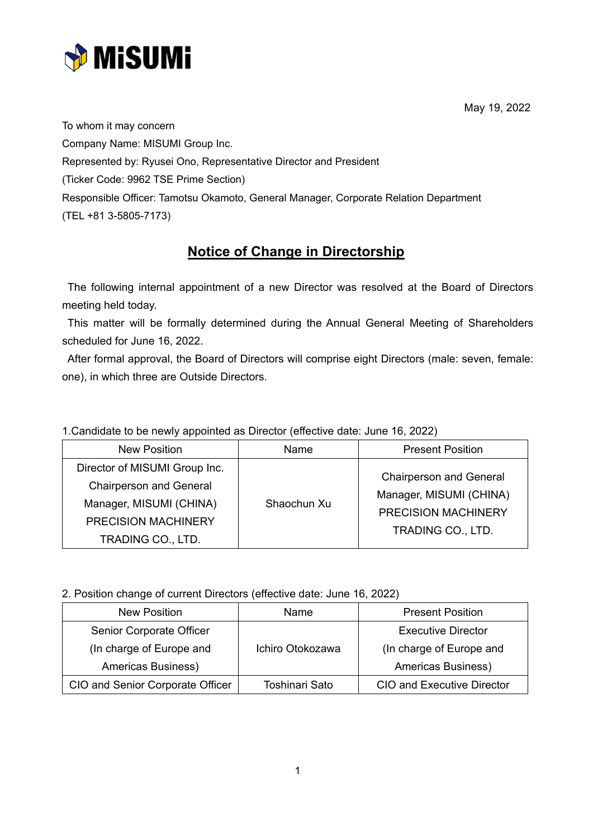

To whom it may concern Company Name: MISUMI Group Inc. Represented by: Ryusei Ono, Representative Director and President (Ticker Code: 9962 TSE Prime Section) Responsible Officer: Tamotsu Okamoto, General Manager, Corporate Relation Department (TEL +81 3-5805-7173)

## **Notice of Change in Directorship**

The following internal appointment of a new Director was resolved at the Board of Directors meeting held today.

This matter will be formally determined during the Annual General Meeting of Shareholders scheduled for June 16, 2022.

After formal approval, the Board of Directors will comprise eight Directors (male: seven, female: one), in which three are Outside Directors.

1.Candidate to be newly appointed as Director (effective date: June 16, 2022)

| <b>New Position</b>            | Name        | <b>Present Position</b>        |
|--------------------------------|-------------|--------------------------------|
| Director of MISUMI Group Inc.  | Shaochun Xu | <b>Chairperson and General</b> |
| <b>Chairperson and General</b> |             |                                |
| Manager, MISUMI (CHINA)        |             | Manager, MISUMI (CHINA)        |
| PRECISION MACHINERY            |             | <b>PRECISION MACHINERY</b>     |
| TRADING CO., LTD.              |             | TRADING CO., LTD.              |

2. Position change of current Directors (effective date: June 16, 2022)

| New Position                     | Name             | <b>Present Position</b>           |
|----------------------------------|------------------|-----------------------------------|
| Senior Corporate Officer         |                  | <b>Executive Director</b>         |
| (In charge of Europe and         | Ichiro Otokozawa | (In charge of Europe and          |
| Americas Business)               |                  | Americas Business)                |
| CIO and Senior Corporate Officer | Toshinari Sato   | <b>CIO and Executive Director</b> |

May 19, 2022